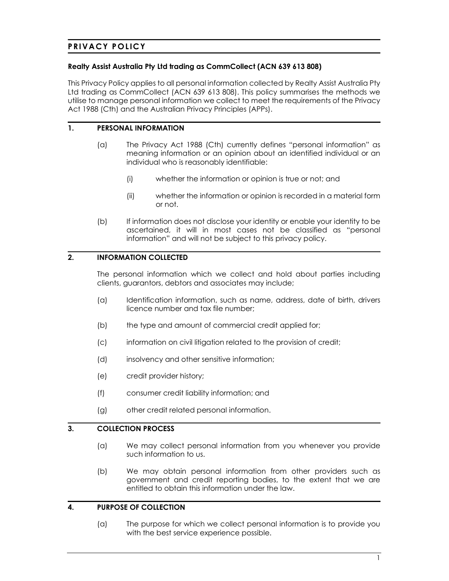# PRIVACY POLICY

### Realty Assist Australia Pty Ltd trading as CommCollect (ACN 639 613 808)

This Privacy Policy applies to all personal information collected by Realty Assist Australia Pty Ltd trading as CommCollect (ACN 639 613 808). This policy summarises the methods we utilise to manage personal information we collect to meet the requirements of the Privacy Act 1988 (Cth) and the Australian Privacy Principles (APPs).

### 1. PERSONAL INFORMATION

- (a) The Privacy Act 1988 (Cth) currently defines "personal information" as meaning information or an opinion about an identified individual or an individual who is reasonably identifiable:
	- (i) whether the information or opinion is true or not; and
	- (ii) whether the information or opinion is recorded in a material form or not.
- (b) If information does not disclose your identity or enable your identity to be ascertained, it will in most cases not be classified as "personal information" and will not be subject to this privacy policy.

#### 2. INFORMATION COLLECTED

The personal information which we collect and hold about parties including clients, guarantors, debtors and associates may include;

- (a) Identification information, such as name, address, date of birth, drivers licence number and tax file number;
- (b) the type and amount of commercial credit applied for;
- (c) information on civil litigation related to the provision of credit;
- (d) insolvency and other sensitive information;
- (e) credit provider history;
- (f) consumer credit liability information; and
- (g) other credit related personal information.

#### 3. COLLECTION PROCESS

- (a) We may collect personal information from you whenever you provide such information to us.
- (b) We may obtain personal information from other providers such as government and credit reporting bodies, to the extent that we are entitled to obtain this information under the law.

### 4. PURPOSE OF COLLECTION

(a) The purpose for which we collect personal information is to provide you with the best service experience possible.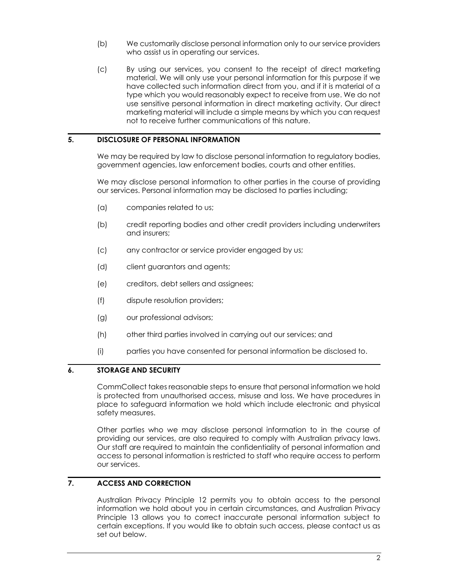- (b) We customarily disclose personal information only to our service providers who assist us in operating our services.
- (c) By using our services, you consent to the receipt of direct marketing material. We will only use your personal information for this purpose if we have collected such information direct from you, and if it is material of a type which you would reasonably expect to receive from use. We do not use sensitive personal information in direct marketing activity. Our direct marketing material will include a simple means by which you can request not to receive further communications of this nature.

### 5. DISCLOSURE OF PERSONAL INFORMATION

We may be required by law to disclose personal information to regulatory bodies, government agencies, law enforcement bodies, courts and other entities.

We may disclose personal information to other parties in the course of providing our services. Personal information may be disclosed to parties including;

- (a) companies related to us;
- (b) credit reporting bodies and other credit providers including underwriters and insurers;
- (c) any contractor or service provider engaged by us;
- (d) client guarantors and agents;
- (e) creditors, debt sellers and assignees;
- (f) dispute resolution providers;
- (g) our professional advisors;
- (h) other third parties involved in carrying out our services; and
- (i) parties you have consented for personal information be disclosed to.

#### 6. STORAGE AND SECURITY

CommCollect takes reasonable steps to ensure that personal information we hold is protected from unauthorised access, misuse and loss. We have procedures in place to safeguard information we hold which include electronic and physical safety measures.

Other parties who we may disclose personal information to in the course of providing our services, are also required to comply with Australian privacy laws. Our staff are required to maintain the confidentiality of personal information and access to personal information is restricted to staff who require access to perform our services.

# 7. ACCESS AND CORRECTION

Australian Privacy Principle 12 permits you to obtain access to the personal information we hold about you in certain circumstances, and Australian Privacy Principle 13 allows you to correct inaccurate personal information subject to certain exceptions. If you would like to obtain such access, please contact us as set out below.